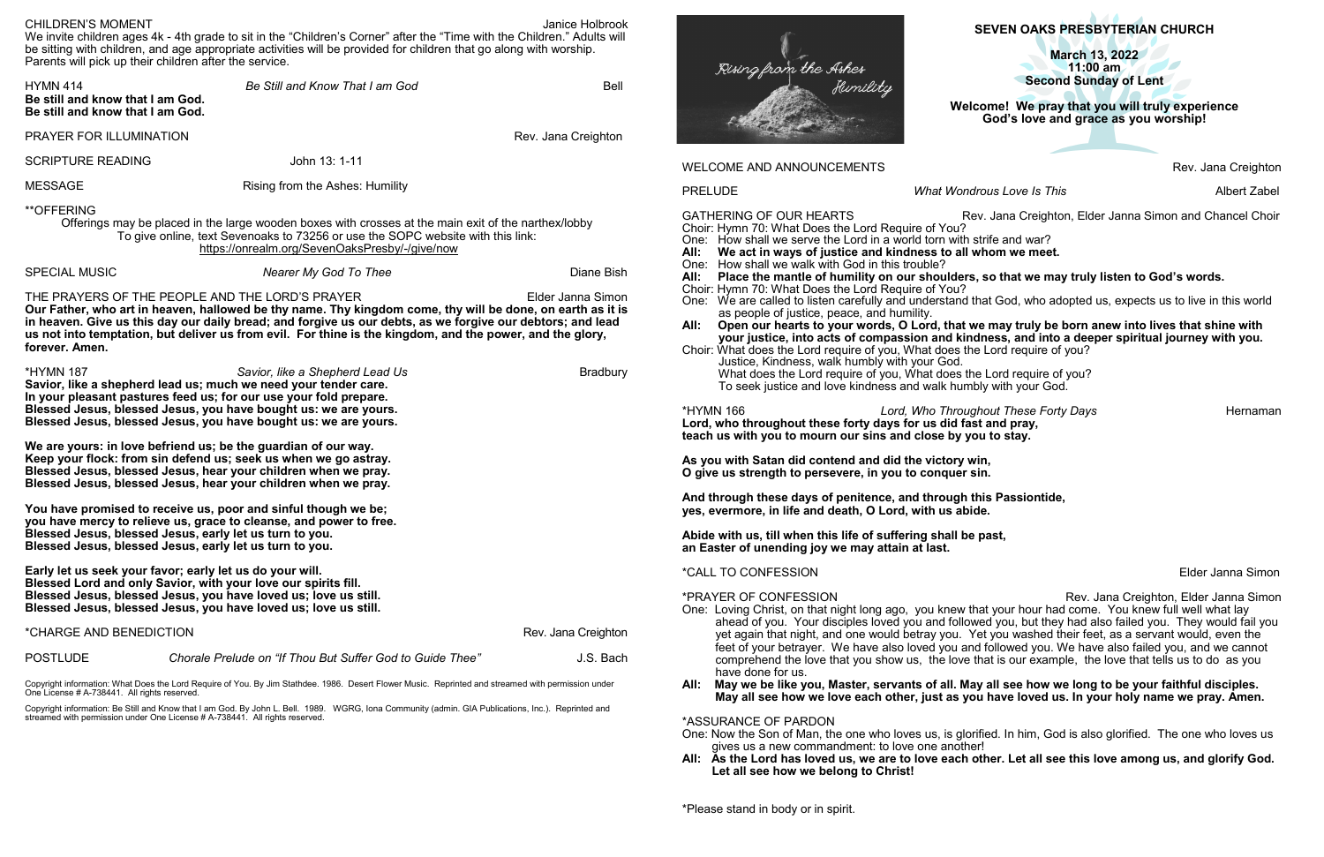# **SEVEN OAKS PRESBYTERIAN CHURCH**

Rev. Jana Creighton

PRELUDE *What Wondrous Love Is This* Albert Zabel

ev. Jana Creighton, Elder Janna Simon and Chancel Choir

## **All: Place the mantle of humility on our shoulders, so that we may truly listen to God's words.**

*hout These Forty Days* **Hernaman Lond** pray, **the stay.** 

**Elder Janna Simon** 

#### **Allick was sept serve is verogen in** Septer, septer, septer, septer, septer, septer,  $\frac{1}{2}$ **May all see how we have see there** in your holy name we pray. Amen.

| <b>CHILDREN'S MOMENT</b><br>Janice Holbrook<br>We invite children ages 4k - 4th grade to sit in the "Children's Corner" after the "Time with the Children." Adults will                                                                                                                                                                                                                                                         |                                                                                                                                                                                                                                                                                                               |                                                                                                      | SEVEN OAKS PRESBYTERIAN CHURCH                                                                                                                                                                                                                                                                                                                                                                                                                                                                                                                                       |                                                                                                                                                                                                                                                                                                                        |                                      |
|---------------------------------------------------------------------------------------------------------------------------------------------------------------------------------------------------------------------------------------------------------------------------------------------------------------------------------------------------------------------------------------------------------------------------------|---------------------------------------------------------------------------------------------------------------------------------------------------------------------------------------------------------------------------------------------------------------------------------------------------------------|------------------------------------------------------------------------------------------------------|----------------------------------------------------------------------------------------------------------------------------------------------------------------------------------------------------------------------------------------------------------------------------------------------------------------------------------------------------------------------------------------------------------------------------------------------------------------------------------------------------------------------------------------------------------------------|------------------------------------------------------------------------------------------------------------------------------------------------------------------------------------------------------------------------------------------------------------------------------------------------------------------------|--------------------------------------|
|                                                                                                                                                                                                                                                                                                                                                                                                                                 | be sitting with children, and age appropriate activities will be provided for children that go along with worship.<br>Parents will pick up their children after the service.                                                                                                                                  |                                                                                                      | Rising from the Ashes                                                                                                                                                                                                                                                                                                                                                                                                                                                                                                                                                | <b>March 13, 2022</b><br>$11:00$ am<br><b>Second Sunday of Lent</b>                                                                                                                                                                                                                                                    |                                      |
| <b>HYMN 414</b><br>Be Still and Know That I am God<br><b>Bell</b><br>Be still and know that I am God.<br>Be still and know that I am God.                                                                                                                                                                                                                                                                                       |                                                                                                                                                                                                                                                                                                               | flumility<br>Welcome! We pray that you will truly experience<br>God's love and grace as you worship! |                                                                                                                                                                                                                                                                                                                                                                                                                                                                                                                                                                      |                                                                                                                                                                                                                                                                                                                        |                                      |
| PRAYER FOR ILLUMINATION                                                                                                                                                                                                                                                                                                                                                                                                         |                                                                                                                                                                                                                                                                                                               | Rev. Jana Creighton                                                                                  |                                                                                                                                                                                                                                                                                                                                                                                                                                                                                                                                                                      |                                                                                                                                                                                                                                                                                                                        |                                      |
| <b>SCRIPTURE READING</b>                                                                                                                                                                                                                                                                                                                                                                                                        | John 13: 1-11                                                                                                                                                                                                                                                                                                 |                                                                                                      | <b>WELCOME AND ANNOUNCEMENTS</b>                                                                                                                                                                                                                                                                                                                                                                                                                                                                                                                                     |                                                                                                                                                                                                                                                                                                                        | Rev. Jana Creigh                     |
| <b>MESSAGE</b>                                                                                                                                                                                                                                                                                                                                                                                                                  | Rising from the Ashes: Humility                                                                                                                                                                                                                                                                               |                                                                                                      | <b>PRELUDE</b>                                                                                                                                                                                                                                                                                                                                                                                                                                                                                                                                                       | What Wondrous Love Is This                                                                                                                                                                                                                                                                                             | Albert Za                            |
| <b>**OFFERING</b><br>Offerings may be placed in the large wooden boxes with crosses at the main exit of the narthex/lobby<br>To give online, text Sevenoaks to 73256 or use the SOPC website with this link:<br>https://onrealm.org/SevenOaksPresby/-/give/now                                                                                                                                                                  |                                                                                                                                                                                                                                                                                                               |                                                                                                      | <b>GATHERING OF OUR HEARTS</b><br>Rev. Jana Creighton, Elder Janna Simon and Chancel Ch<br>Choir: Hymn 70: What Does the Lord Require of You?<br>One: How shall we serve the Lord in a world torn with strife and war?<br>We act in ways of justice and kindness to all whom we meet.<br>All:                                                                                                                                                                                                                                                                        |                                                                                                                                                                                                                                                                                                                        |                                      |
| <b>SPECIAL MUSIC</b>                                                                                                                                                                                                                                                                                                                                                                                                            | <b>Nearer My God To Thee</b>                                                                                                                                                                                                                                                                                  | Diane Bish                                                                                           | One: How shall we walk with God in this trouble?<br>All:                                                                                                                                                                                                                                                                                                                                                                                                                                                                                                             | Place the mantle of humility on our shoulders, so that we may truly listen to God's words.                                                                                                                                                                                                                             |                                      |
| THE PRAYERS OF THE PEOPLE AND THE LORD'S PRAYER<br>Elder Janna Simon<br>Our Father, who art in heaven, hallowed be thy name. Thy kingdom come, thy will be done, on earth as it is<br>in heaven. Give us this day our daily bread; and forgive us our debts, as we forgive our debtors; and lead<br>us not into temptation, but deliver us from evil. For thine is the kingdom, and the power, and the glory,<br>forever. Amen. |                                                                                                                                                                                                                                                                                                               |                                                                                                      | Choir: Hymn 70: What Does the Lord Require of You?<br>One: We are called to listen carefully and understand that God, who adopted us, expects us to live in this wor<br>as people of justice, peace, and humility.<br>Open our hearts to your words, O Lord, that we may truly be born anew into lives that shine with<br>All:<br>your justice, into acts of compassion and kindness, and into a deeper spiritual journey with you.<br>Choir: What does the Lord require of you, What does the Lord require of you?<br>Justice, Kindness, walk humbly with your God. |                                                                                                                                                                                                                                                                                                                        |                                      |
| <b>*HYMN 187</b>                                                                                                                                                                                                                                                                                                                                                                                                                | Savior, like a Shepherd Lead Us<br>Savior, like a shepherd lead us; much we need your tender care.<br>In your pleasant pastures feed us; for our use your fold prepare.<br>Blessed Jesus, blessed Jesus, you have bought us: we are yours.<br>Blessed Jesus, blessed Jesus, you have bought us: we are yours. | <b>Bradbury</b>                                                                                      | *HYMN 166                                                                                                                                                                                                                                                                                                                                                                                                                                                                                                                                                            | What does the Lord require of you, What does the Lord require of you?<br>To seek justice and love kindness and walk humbly with your God.<br>Lord, Who Throughout These Forty Days<br>Lord, who throughout these forty days for us did fast and pray,<br>teach us with you to mourn our sins and close by you to stay. | Hernan                               |
|                                                                                                                                                                                                                                                                                                                                                                                                                                 | We are yours: in love befriend us; be the guardian of our way.<br>Keep your flock: from sin defend us; seek us when we go astray.<br>Blessed Jesus, blessed Jesus, hear your children when we pray.<br>Blessed Jesus, blessed Jesus, hear your children when we pray.                                         |                                                                                                      | As you with Satan did contend and did the victory win,<br>O give us strength to persevere, in you to conquer sin.                                                                                                                                                                                                                                                                                                                                                                                                                                                    |                                                                                                                                                                                                                                                                                                                        |                                      |
|                                                                                                                                                                                                                                                                                                                                                                                                                                 | You have promised to receive us, poor and sinful though we be;<br>you have mercy to relieve us, grace to cleanse, and power to free.<br>Blessed Jesus, blessed Jesus, early let us turn to you.<br>Blessed Jesus, blessed Jesus, early let us turn to you.                                                    |                                                                                                      | yes, evermore, in life and death, O Lord, with us abide.<br>Abide with us, till when this life of suffering shall be past,<br>an Easter of unending joy we may attain at last.                                                                                                                                                                                                                                                                                                                                                                                       | And through these days of penitence, and through this Passiontide,                                                                                                                                                                                                                                                     |                                      |
|                                                                                                                                                                                                                                                                                                                                                                                                                                 | Early let us seek your favor; early let us do your will.                                                                                                                                                                                                                                                      |                                                                                                      | <i><b>*CALL TO CONFESSION</b></i>                                                                                                                                                                                                                                                                                                                                                                                                                                                                                                                                    |                                                                                                                                                                                                                                                                                                                        | Elder Janna Sin                      |
|                                                                                                                                                                                                                                                                                                                                                                                                                                 | Blessed Lord and only Savior, with your love our spirits fill.<br>Blessed Jesus, blessed Jesus, you have loved us; love us still.<br>Blessed Jesus, blessed Jesus, you have loved us; love us still.                                                                                                          |                                                                                                      | *PRAYER OF CONFESSION                                                                                                                                                                                                                                                                                                                                                                                                                                                                                                                                                | One: Loving Christ, on that night long ago, you knew that your hour had come. You knew full well what lay                                                                                                                                                                                                              | Rev. Jana Creighton, Elder Janna Sin |
| *CHARGE AND BENEDICTION<br>Rev. Jana Creighton                                                                                                                                                                                                                                                                                                                                                                                  |                                                                                                                                                                                                                                                                                                               |                                                                                                      |                                                                                                                                                                                                                                                                                                                                                                                                                                                                                                                                                                      | ahead of you. Your disciples loved you and followed you, but they had also failed you. They would fail y<br>yet again that night, and one would betray you. Yet you washed their feet, as a servant would, even the                                                                                                    |                                      |
| <b>POSTLUDE</b>                                                                                                                                                                                                                                                                                                                                                                                                                 | Chorale Prelude on "If Thou But Suffer God to Guide Thee"                                                                                                                                                                                                                                                     | J.S. Bach                                                                                            | have done for us.                                                                                                                                                                                                                                                                                                                                                                                                                                                                                                                                                    | feet of your betrayer. We have also loved you and followed you. We have also failed you, and we canno<br>comprehend the love that you show us, the love that is our example, the love that tells us to do as you                                                                                                       |                                      |
| Copyright information: What Does the Lord Require of You. By Jim Stathdee. 1986. Desert Flower Music. Reprinted and streamed with permission under<br>One License # A-738441. All rights reserved.                                                                                                                                                                                                                              |                                                                                                                                                                                                                                                                                                               |                                                                                                      | All: May we be like you, Master, servants of all. May all see how we long to be your faithful disciples.<br>May all see how we love each other, just as you have loved us. In your holy name we pray. Amen.                                                                                                                                                                                                                                                                                                                                                          |                                                                                                                                                                                                                                                                                                                        |                                      |
|                                                                                                                                                                                                                                                                                                                                                                                                                                 | Copyright information: Be Still and Know that I am God. By John L. Bell. 1989. WGRG, Iona Community (admin. GIA Publications, Inc.). Reprinted and<br>streamed with permission under One License # A-738441. All rights reserved.                                                                             |                                                                                                      | *ASSURANCE OF PARDON<br>gives us a new commandment: to love one another!<br>Let all see how we belong to Christ!                                                                                                                                                                                                                                                                                                                                                                                                                                                     | One: Now the Son of Man, the one who loves us, is glorified. In him, God is also glorified. The one who loves u<br>All: As the Lord has loved us, we are to love each other. Let all see this love among us, and glorify Go                                                                                            |                                      |